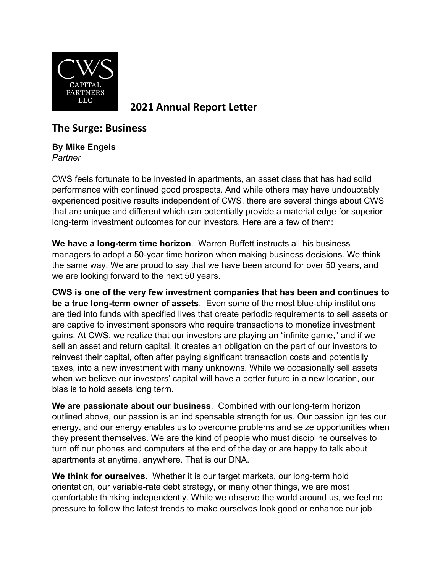

**2021 Annual Report Letter**

## **The Surge: Business**

## **By Mike Engels** *Partner*

CWS feels fortunate to be invested in apartments, an asset class that has had solid performance with continued good prospects. And while others may have undoubtably experienced positive results independent of CWS, there are several things about CWS that are unique and different which can potentially provide a material edge for superior long-term investment outcomes for our investors. Here are a few of them:

**We have a long-term time horizon**. Warren Buffett instructs all his business managers to adopt a 50-year time horizon when making business decisions. We think the same way. We are proud to say that we have been around for over 50 years, and we are looking forward to the next 50 years.

**CWS is one of the very few investment companies that has been and continues to be a true long-term owner of assets**. Even some of the most blue-chip institutions are tied into funds with specified lives that create periodic requirements to sell assets or are captive to investment sponsors who require transactions to monetize investment gains. At CWS, we realize that our investors are playing an "infinite game," and if we sell an asset and return capital, it creates an obligation on the part of our investors to reinvest their capital, often after paying significant transaction costs and potentially taxes, into a new investment with many unknowns. While we occasionally sell assets when we believe our investors' capital will have a better future in a new location, our bias is to hold assets long term.

**We are passionate about our business**. Combined with our long-term horizon outlined above, our passion is an indispensable strength for us. Our passion ignites our energy, and our energy enables us to overcome problems and seize opportunities when they present themselves. We are the kind of people who must discipline ourselves to turn off our phones and computers at the end of the day or are happy to talk about apartments at anytime, anywhere. That is our DNA.

**We think for ourselves**. Whether it is our target markets, our long-term hold orientation, our variable-rate debt strategy, or many other things, we are most comfortable thinking independently. While we observe the world around us, we feel no pressure to follow the latest trends to make ourselves look good or enhance our job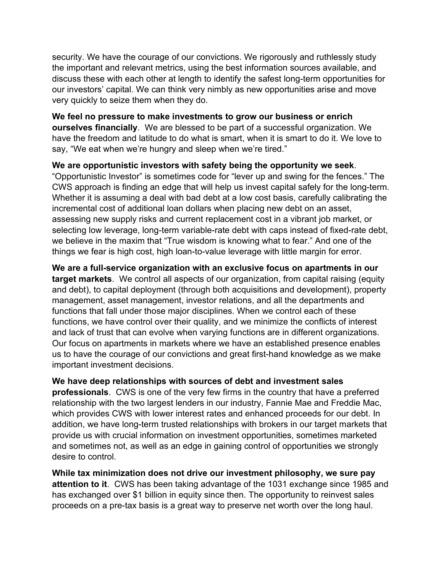security. We have the courage of our convictions. We rigorously and ruthlessly study the important and relevant metrics, using the best information sources available, and discuss these with each other at length to identify the safest long-term opportunities for our investors' capital. We can think very nimbly as new opportunities arise and move very quickly to seize them when they do.

**We feel no pressure to make investments to grow our business or enrich ourselves financially**. We are blessed to be part of a successful organization. We have the freedom and latitude to do what is smart, when it is smart to do it. We love to say, "We eat when we're hungry and sleep when we're tired."

**We are opportunistic investors with safety being the opportunity we seek**. "Opportunistic Investor" is sometimes code for "lever up and swing for the fences." The CWS approach is finding an edge that will help us invest capital safely for the long-term. Whether it is assuming a deal with bad debt at a low cost basis, carefully calibrating the incremental cost of additional loan dollars when placing new debt on an asset, assessing new supply risks and current replacement cost in a vibrant job market, or selecting low leverage, long-term variable-rate debt with caps instead of fixed-rate debt, we believe in the maxim that "True wisdom is knowing what to fear." And one of the things we fear is high cost, high loan-to-value leverage with little margin for error.

**We are a full-service organization with an exclusive focus on apartments in our target markets**. We control all aspects of our organization, from capital raising (equity and debt), to capital deployment (through both acquisitions and development), property management, asset management, investor relations, and all the departments and functions that fall under those major disciplines. When we control each of these functions, we have control over their quality, and we minimize the conflicts of interest and lack of trust that can evolve when varying functions are in different organizations. Our focus on apartments in markets where we have an established presence enables us to have the courage of our convictions and great first-hand knowledge as we make important investment decisions.

**We have deep relationships with sources of debt and investment sales professionals**. CWS is one of the very few firms in the country that have a preferred relationship with the two largest lenders in our industry, Fannie Mae and Freddie Mac, which provides CWS with lower interest rates and enhanced proceeds for our debt. In addition, we have long-term trusted relationships with brokers in our target markets that provide us with crucial information on investment opportunities, sometimes marketed and sometimes not, as well as an edge in gaining control of opportunities we strongly desire to control.

**While tax minimization does not drive our investment philosophy, we sure pay attention to it**. CWS has been taking advantage of the 1031 exchange since 1985 and has exchanged over \$1 billion in equity since then. The opportunity to reinvest sales proceeds on a pre-tax basis is a great way to preserve net worth over the long haul.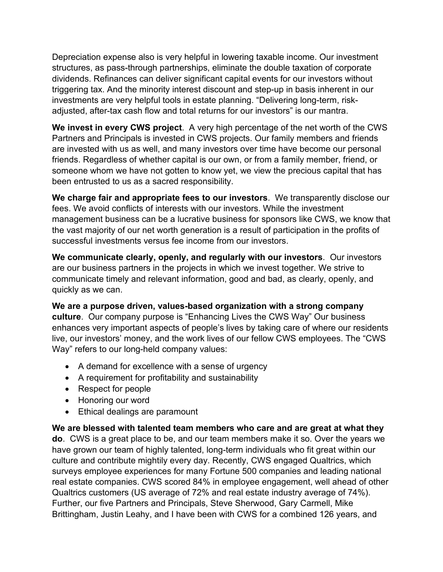Depreciation expense also is very helpful in lowering taxable income. Our investment structures, as pass-through partnerships, eliminate the double taxation of corporate dividends. Refinances can deliver significant capital events for our investors without triggering tax. And the minority interest discount and step-up in basis inherent in our investments are very helpful tools in estate planning. "Delivering long-term, riskadjusted, after-tax cash flow and total returns for our investors" is our mantra.

**We invest in every CWS project**. A very high percentage of the net worth of the CWS Partners and Principals is invested in CWS projects. Our family members and friends are invested with us as well, and many investors over time have become our personal friends. Regardless of whether capital is our own, or from a family member, friend, or someone whom we have not gotten to know yet, we view the precious capital that has been entrusted to us as a sacred responsibility.

**We charge fair and appropriate fees to our investors**. We transparently disclose our fees. We avoid conflicts of interests with our investors. While the investment management business can be a lucrative business for sponsors like CWS, we know that the vast majority of our net worth generation is a result of participation in the profits of successful investments versus fee income from our investors.

**We communicate clearly, openly, and regularly with our investors**. Our investors are our business partners in the projects in which we invest together. We strive to communicate timely and relevant information, good and bad, as clearly, openly, and quickly as we can.

**We are a purpose driven, values-based organization with a strong company culture**. Our company purpose is "Enhancing Lives the CWS Way" Our business enhances very important aspects of people's lives by taking care of where our residents live, our investors' money, and the work lives of our fellow CWS employees. The "CWS Way" refers to our long-held company values:

- A demand for excellence with a sense of urgency
- A requirement for profitability and sustainability
- Respect for people
- Honoring our word
- Ethical dealings are paramount

**We are blessed with talented team members who care and are great at what they do**. CWS is a great place to be, and our team members make it so. Over the years we have grown our team of highly talented, long-term individuals who fit great within our culture and contribute mightily every day. Recently, CWS engaged Qualtrics, which surveys employee experiences for many Fortune 500 companies and leading national real estate companies. CWS scored 84% in employee engagement, well ahead of other Qualtrics customers (US average of 72% and real estate industry average of 74%). Further, our five Partners and Principals, Steve Sherwood, Gary Carmell, Mike Brittingham, Justin Leahy, and I have been with CWS for a combined 126 years, and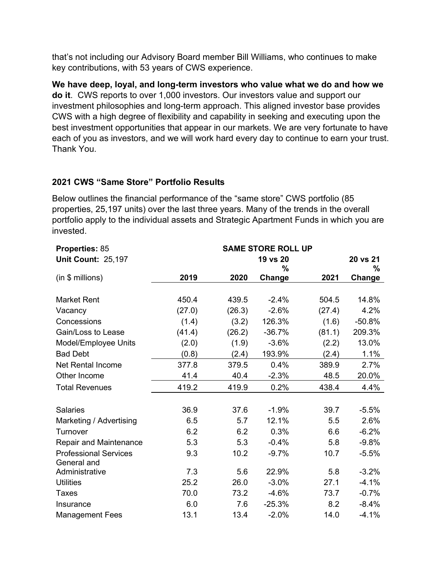that's not including our Advisory Board member Bill Williams, who continues to make key contributions, with 53 years of CWS experience.

**We have deep, loyal, and long-term investors who value what we do and how we do it**. CWS reports to over 1,000 investors. Our investors value and support our investment philosophies and long-term approach. This aligned investor base provides CWS with a high degree of flexibility and capability in seeking and executing upon the best investment opportunities that appear in our markets. We are very fortunate to have each of you as investors, and we will work hard every day to continue to earn your trust. Thank You.

## **2021 CWS "Same Store" Portfolio Results**

Below outlines the financial performance of the "same store" CWS portfolio (85 properties, 25,197 units) over the last three years. Many of the trends in the overall portfolio apply to the individual assets and Strategic Apartment Funds in which you are invested.

| <b>Properties: 85</b>         |        |          |          |        |               |
|-------------------------------|--------|----------|----------|--------|---------------|
| <b>Unit Count: 25,197</b>     |        | 20 vs 21 |          |        |               |
|                               |        |          | $\%$     |        | ℅             |
| (in \$ millions)              | 2019   | 2020     | Change   | 2021   | <b>Change</b> |
|                               |        |          |          |        |               |
| <b>Market Rent</b>            | 450.4  | 439.5    | $-2.4%$  | 504.5  | 14.8%         |
| Vacancy                       | (27.0) | (26.3)   | $-2.6%$  | (27.4) | 4.2%          |
| Concessions                   | (1.4)  | (3.2)    | 126.3%   | (1.6)  | $-50.8%$      |
| Gain/Loss to Lease            | (41.4) | (26.2)   | $-36.7%$ | (81.1) | 209.3%        |
| Model/Employee Units          | (2.0)  | (1.9)    | $-3.6%$  | (2.2)  | 13.0%         |
| <b>Bad Debt</b>               | (0.8)  | (2.4)    | 193.9%   | (2.4)  | 1.1%          |
| <b>Net Rental Income</b>      | 377.8  | 379.5    | 0.4%     | 389.9  | 2.7%          |
| Other Income                  | 41.4   | 40.4     | $-2.3%$  | 48.5   | 20.0%         |
| <b>Total Revenues</b>         | 419.2  | 419.9    | 0.2%     | 438.4  | 4.4%          |
|                               |        |          |          |        |               |
| <b>Salaries</b>               | 36.9   | 37.6     | $-1.9%$  | 39.7   | $-5.5%$       |
| Marketing / Advertising       | 6.5    | 5.7      | 12.1%    | 5.5    | 2.6%          |
| Turnover                      | 6.2    | 6.2      | 0.3%     | 6.6    | $-6.2%$       |
| <b>Repair and Maintenance</b> | 5.3    | 5.3      | $-0.4%$  | 5.8    | $-9.8%$       |
| <b>Professional Services</b>  | 9.3    | 10.2     | $-9.7%$  | 10.7   | $-5.5%$       |
| General and                   |        |          |          |        |               |
| Administrative                | 7.3    | 5.6      | 22.9%    | 5.8    | $-3.2%$       |
| <b>Utilities</b>              | 25.2   | 26.0     | $-3.0%$  | 27.1   | $-4.1%$       |
| <b>Taxes</b>                  | 70.0   | 73.2     | $-4.6%$  | 73.7   | $-0.7%$       |
| Insurance                     | 6.0    | 7.6      | $-25.3%$ | 8.2    | $-8.4%$       |
| <b>Management Fees</b>        | 13.1   | 13.4     | $-2.0%$  | 14.0   | $-4.1%$       |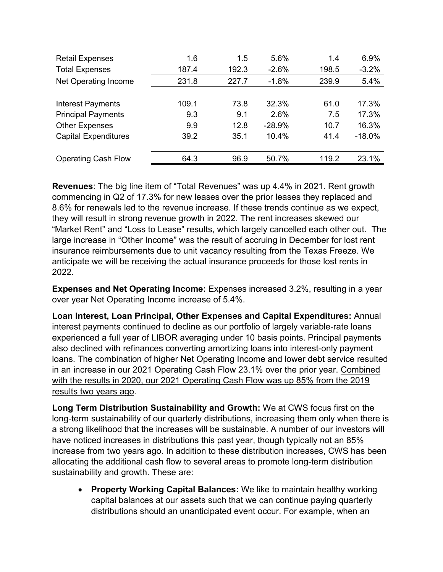| <b>Retail Expenses</b>      | 1.6   | 1.5   | 5.6%     | 1.4   | 6.9%     |
|-----------------------------|-------|-------|----------|-------|----------|
| <b>Total Expenses</b>       | 187.4 | 192.3 | $-2.6%$  | 198.5 | $-3.2%$  |
| Net Operating Income        | 231.8 | 227.7 | $-1.8%$  | 239.9 | 5.4%     |
|                             |       |       |          |       |          |
| <b>Interest Payments</b>    | 109.1 | 73.8  | 32.3%    | 61.0  | 17.3%    |
| <b>Principal Payments</b>   | 9.3   | 9.1   | 2.6%     | 7.5   | 17.3%    |
| <b>Other Expenses</b>       | 9.9   | 12.8  | $-28.9%$ | 10.7  | 16.3%    |
| <b>Capital Expenditures</b> | 39.2  | 35.1  | 10.4%    | 41.4  | $-18.0%$ |
|                             |       |       |          |       |          |
| <b>Operating Cash Flow</b>  | 64.3  | 96.9  | 50.7%    | 119.2 | 23.1%    |

**Revenues**: The big line item of "Total Revenues" was up 4.4% in 2021. Rent growth commencing in Q2 of 17.3% for new leases over the prior leases they replaced and 8.6% for renewals led to the revenue increase. If these trends continue as we expect, they will result in strong revenue growth in 2022. The rent increases skewed our "Market Rent" and "Loss to Lease" results, which largely cancelled each other out. The large increase in "Other Income" was the result of accruing in December for lost rent insurance reimbursements due to unit vacancy resulting from the Texas Freeze. We anticipate we will be receiving the actual insurance proceeds for those lost rents in 2022.

**Expenses and Net Operating Income:** Expenses increased 3.2%, resulting in a year over year Net Operating Income increase of 5.4%.

**Loan Interest, Loan Principal, Other Expenses and Capital Expenditures:** Annual interest payments continued to decline as our portfolio of largely variable-rate loans experienced a full year of LIBOR averaging under 10 basis points. Principal payments also declined with refinances converting amortizing loans into interest-only payment loans. The combination of higher Net Operating Income and lower debt service resulted in an increase in our 2021 Operating Cash Flow 23.1% over the prior year. Combined with the results in 2020, our 2021 Operating Cash Flow was up 85% from the 2019 results two years ago.

**Long Term Distribution Sustainability and Growth:** We at CWS focus first on the long-term sustainability of our quarterly distributions, increasing them only when there is a strong likelihood that the increases will be sustainable. A number of our investors will have noticed increases in distributions this past year, though typically not an 85% increase from two years ago. In addition to these distribution increases, CWS has been allocating the additional cash flow to several areas to promote long-term distribution sustainability and growth. These are:

• **Property Working Capital Balances:** We like to maintain healthy working capital balances at our assets such that we can continue paying quarterly distributions should an unanticipated event occur. For example, when an